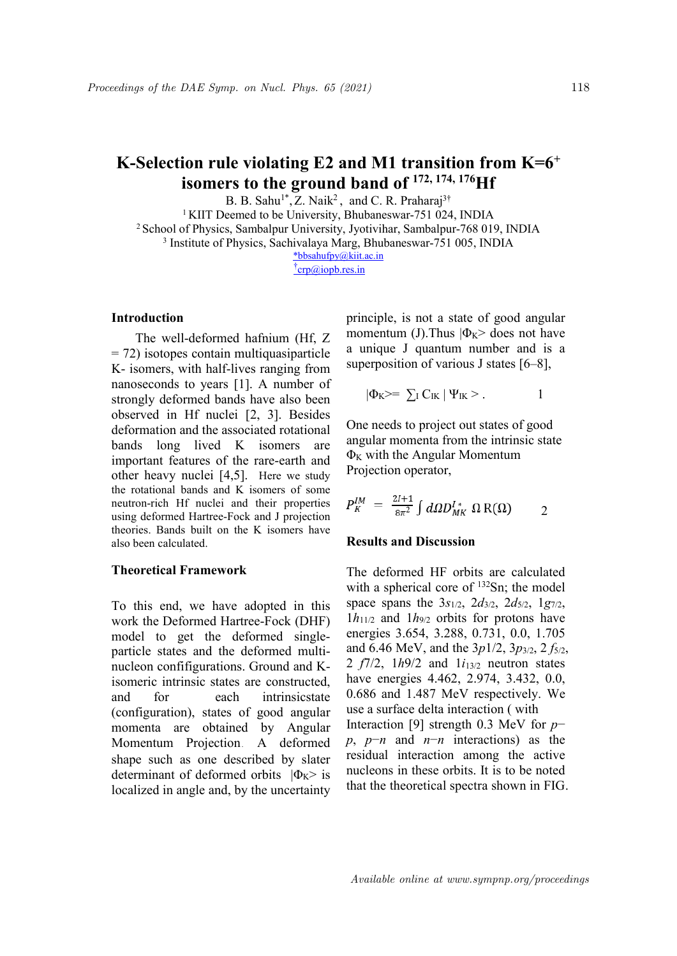### **K-Selection rule violating E2 and M1 transition from K=6 + isomers to the ground band of 172, 174, <sup>176</sup>Hf**

B. B. Sahu<sup>1\*</sup>, Z. Naik<sup>2</sup>, and C. R. Praharaj<sup>3†</sup>

<sup>1</sup> KIIT Deemed to be University, Bhubaneswar-751 024, INDIA <sup>2</sup> School of Physics, Sambalpur University, Jyotivihar, Sambalpur-768 019, INDIA <sup>3</sup> Institute of Physics, Sachivalaya Marg, Bhubaneswar-751 005, INDIA \*bbsahufpy@kiit.ac.in

 $\text{t}$ <sub>crp</sub>@iopb.res.in

## **Introduction**

The well-deformed hafnium (Hf, Z  $=$  72) isotopes contain multiquasiparticle K- isomers, with half-lives ranging from nanoseconds to years [1]. A number of strongly deformed bands have also been observed in Hf nuclei [2, 3]. Besides deformation and the associated rotational bands long lived K isomers are important features of the rare-earth and other heavy nuclei [4,5]. Here we study the rotational bands and K isomers of some neutron-rich Hf nuclei and their properties using deformed Hartree-Fock and J projection theories. Bands built on the K isomers have also been calculated.

## **Theoretical Framework**

To this end, we have adopted in this work the Deformed Hartree-Fock (DHF) model to get the deformed single particle states and the deformed multi nucleon confifigurations. Ground and Kisomeric intrinsic states are constructed, (configuration), states of good angular momenta are obtained by Angular Momentum Projection. A deformed shape such as one described by slater determinant of deformed orbits  $|\Phi_{K}>$  is localized in angle and, by the uncertainty principle, is not a state of good angular momentum (J).Thus  $|\Phi_K\rangle$  does not have a unique J quantum number and is a superposition of various J states [6–8],

$$
|\Phi_{K}\rangle = \sum_{I} C_{IK} | \Psi_{IK} \rangle . \qquad 1
$$

One needs to project out states of good angular momenta from the intrinsic state  $\Phi$ <sub>K</sub> with the Angular Momentum Projection operator,

$$
P_K^{IM} = \frac{2l+1}{8\pi^2} \int d\Omega D_{MK}^{I*} \Omega R(\Omega) \qquad 2
$$

### **Results and Discussion**

and for each intrinsicstate 0.686 and 1.487 MeV respectively. We The deformed HF orbits are calculated with a spherical core of <sup>132</sup>Sn; the model space spans the 3*s*1/2, 2*d*3/2, 2*d*5/2, 1*g*7/2,  $1h_{11/2}$  and  $1h_{9/2}$  orbits for protons have energies 3.654, 3.288, 0.731, 0.0, 1.705 and 6.46 MeV, and the 3*p*1/2, 3*p*3/2, 2 *f*5/2, 2  $f7/2$ ,  $1h9/2$  and  $1i_{13/2}$  neutron states have energies 4.462, 2.974, 3.432, 0.0, use a surface delta interaction ( with Interaction [9] strength 0.3 MeV for *p*− *p*, *p*−*n* and *n*−*n* interactions) as the residual interaction among the active nucleons in these orbits. It is to be noted that the theoretical spectra shown in FIG.